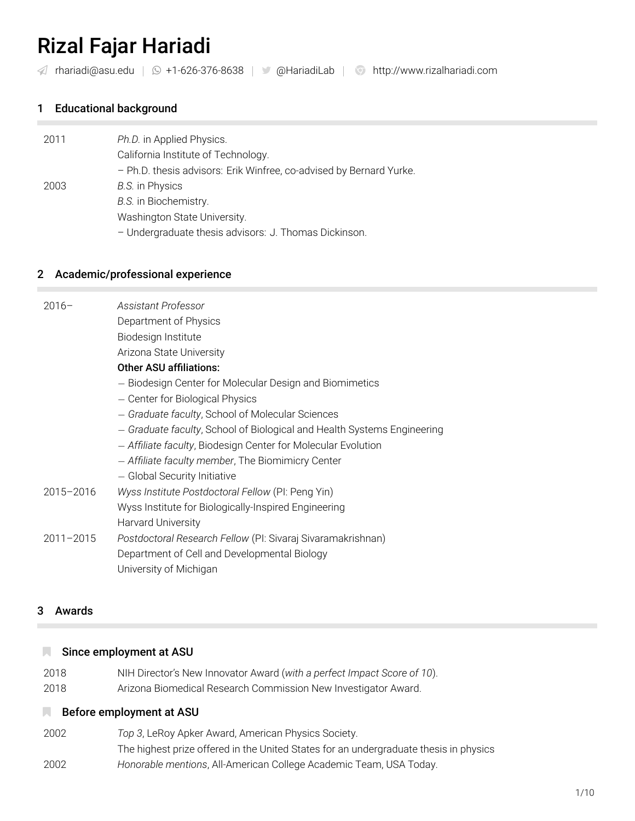# [Rizal Fajar Hariadi](http://www.rizalhariadi.com)

[rhariadi@asu.edu](mailto:rhariadi@asu.edu) *|* +1-626-376-8638 *|* @HariadiLab *|* <http://www.rizalhariadi.com>

# 1 Educational background

| 2011 | Ph.D. in Applied Physics.                                           |
|------|---------------------------------------------------------------------|
|      | California Institute of Technology.                                 |
|      | - Ph.D. thesis advisors: Erik Winfree, co-advised by Bernard Yurke. |
| 2003 | <b>B.S.</b> in Physics                                              |
|      | B.S. in Biochemistry.                                               |
|      | Washington State University.                                        |
|      | - Undergraduate thesis advisors: J. Thomas Dickinson.               |
|      |                                                                     |

#### 2 Academic/professional experience

| $2016-$       | Assistant Professor                                                     |
|---------------|-------------------------------------------------------------------------|
|               | Department of Physics                                                   |
|               | Biodesign Institute                                                     |
|               | Arizona State University                                                |
|               | <b>Other ASU affiliations:</b>                                          |
|               | - Biodesign Center for Molecular Design and Biomimetics                 |
|               | - Center for Biological Physics                                         |
|               | - Graduate faculty, School of Molecular Sciences                        |
|               | - Graduate faculty, School of Biological and Health Systems Engineering |
|               | - Affiliate faculty, Biodesign Center for Molecular Evolution           |
|               | - Affiliate faculty member, The Biomimicry Center                       |
|               | - Global Security Initiative                                            |
| 2015-2016     | Wyss Institute Postdoctoral Fellow (PI: Peng Yin)                       |
|               | Wyss Institute for Biologically-Inspired Engineering                    |
|               | <b>Harvard University</b>                                               |
| $2011 - 2015$ | Postdoctoral Research Fellow (PI: Sivaraj Sivaramakrishnan)             |
|               | Department of Cell and Developmental Biology                            |
|               | University of Michigan                                                  |
|               |                                                                         |

#### 3 Awards

#### Since employment at ASU

- 2018 NIH Director's New Innovator Award (*with a perfect Impact Score of 10*).
- 2018 Arizona Biomedical Research Commission New Investigator Award.

#### **Before employment at ASU**

2002 *Top 3*, LeRoy Apker Award, American Physics Society. The highest prize offered in the United States for an undergraduate thesis in physics 2002 *Honorable mentions*, All-American College Academic Team, USA Today.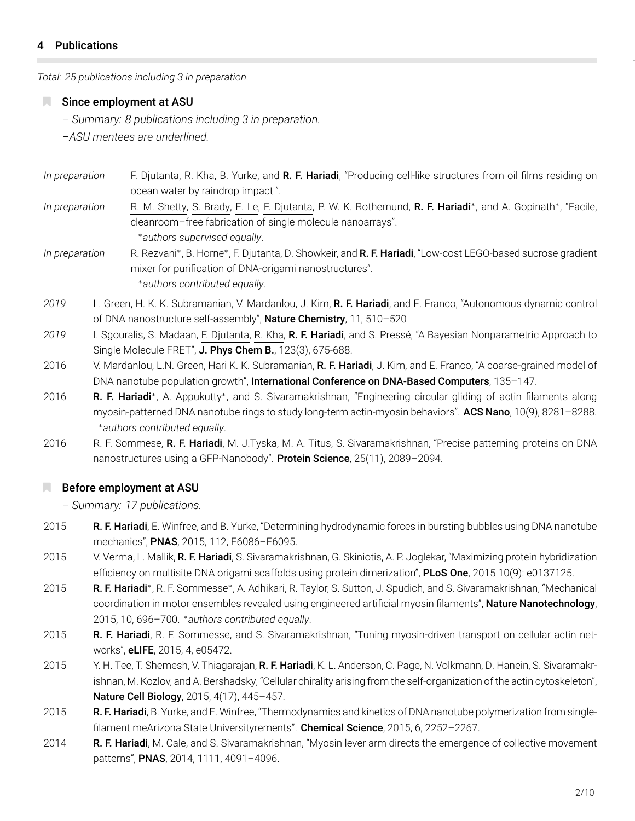### 4 Publications

*Total: 25 publications including 3 in preparation.*

#### Since employment at ASU

*– Summary: 8 publications including 3 in preparation.*

*–ASU mentees are underlined.*

- *In preparation* F. Djutanta, R. Kha, B. Yurke, and R. F. Hariadi, "Producing cell-like structures from oil films residing on ocean water by raindrop impact ".
- *In preparation* R. M. Shetty, S. Brady, E. Le, F. Djutanta, P. W. K. Rothemund, R. F. Hariadi*∗* , and A. Gopinath*∗* , "Facile, cleanroom–free fabrication of single molecule nanoarrays". *∗authors supervised equally*.
- *In preparation* , B. Horne*∗* , F. Djutanta, D. Showkeir, and R. F. Hariadi, "Low-cost LEGO-based sucrose gradient mixer for purification of DNA-origami nanostructures". *∗authors contributed equally*.
- *2019* L. Green, H. K. K. Subramanian, V. Mardanlou, J. Kim, R. F. Hariadi, and E. Franco, "Autonomous dynamic control of DNA nanostructure self-assembly", Nature Chemistry, 11, 510-520
- *2019* I. Sgouralis, S. Madaan, F. Djutanta, R. Kha, R. F. Hariadi, and S. Pressé, "A Bayesian Nonparametric Approach to Single Molecule FRET", J. Phys Chem B., 123(3), 675-688.
- 2016 V. Mardanlou, L.N. Green, Hari K. K. Subramanian, R. F. Hariadi, J. Kim, and E. Franco, "A coarse-grained model of DNA nanotube population growth", International Conference on DNA-Based Computers, 135-147.
- 2016 **R. F. Hariadi**\*, A. Appukutty\*, and S. Sivaramakrishnan, "Engineering circular gliding of actin filaments along myosin-patterned DNA nanotube rings to study long-term actin-myosin behaviors". **ACS Nano**, 10(9), 8281–8288. *<sup>∗</sup>authors contributed equally*.
- 2016 R. F. Sommese, R. F. Hariadi, M. J.Tyska, M. A. Titus, S. Sivaramakrishnan, "Precise patterning proteins on DNA nanostructures using a GFP-Nanobody". Protein Science, 25(11), 2089-2094.

#### **Before employment at ASU**

*– Summary: 17 publications.*

- 2015 R. F. Hariadi, E. Winfree, and B. Yurke, "Determining hydrodynamic forces in bursting bubbles using DNA nanotube mechanics", PNAS, 2015, 112, E6086–E6095.
- 2015 V. Verma, L. Mallik, R. F. Hariadi, S. Sivaramakrishnan, G. Skiniotis, A. P. Joglekar, "Maximizing protein hybridization efficiency on multisite DNA origami scaffolds using protein dimerization", PLoS One, 2015 10(9): e0137125.
- 2015 R. F. Hariadi\*, R. F. Sommesse\*, A. Adhikari, R. Taylor, S. Sutton, J. Spudich, and S. Sivaramakrishnan, "Mechanical coordination in motor ensembles revealed using engineered artificial myosin filaments", Nature Nanotechnology, 2015, 10, 696–700. *<sup>∗</sup>authors contributed equally*.
- 2015 R. F. Hariadi, R. F. Sommesse, and S. Sivaramakrishnan, "Tuning myosin-driven transport on cellular actin networks", eLIFE, 2015, 4, e05472.
- 2015 Y. H. Tee, T. Shemesh, V. Thiagarajan, R. F. Hariadi, K. L. Anderson, C. Page, N. Volkmann, D. Hanein, S. Sivaramakrishnan, M. Kozlov, and A. Bershadsky, "Cellular chirality arising from the self-organization of the actin cytoskeleton", Nature Cell Biology, 2015, 4(17), 445–457.
- 2015 R. F. Hariadi, B. Yurke, and E. Winfree, "Thermodynamics and kinetics of DNA nanotube polymerization from singlefilament meArizona State Universityrements". Chemical Science, 2015, 6, 2252-2267.
- 2014 R. F. Hariadi, M. Cale, and S. Sivaramakrishnan, "Myosin lever arm directs the emergence of collective movement patterns", PNAS, 2014, 1111, 4091-4096.

*–*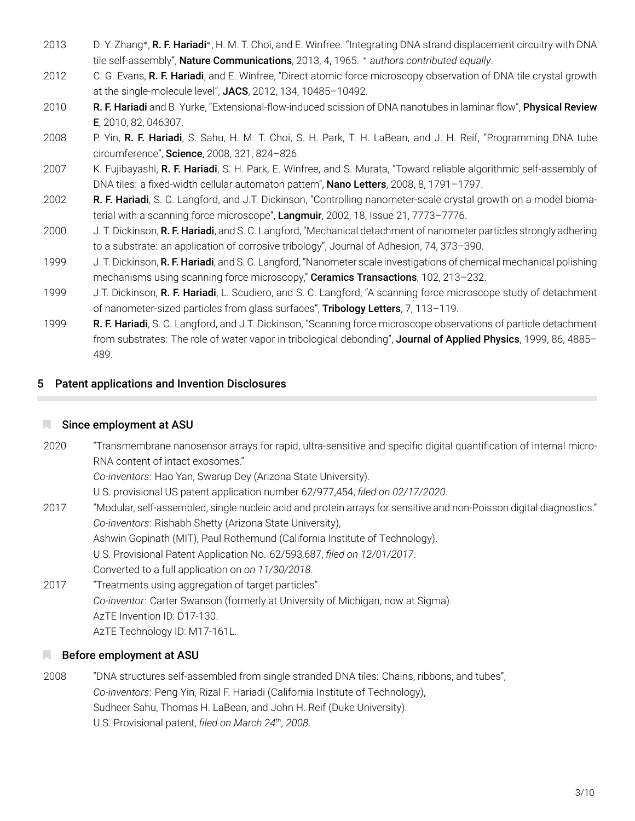- 2013 D. Y. Zhang\*, **R. F. Hariadi**\*, H. M. T. Choi, and E. Winfree. "Integrating DNA strand displacement circuitry with DNA tile self-assembly", Nature Communications, 2013, 4, 1965. *∗ authors contributed equally*.
- 2012 C. G. Evans, R. F. Hariadi, and E. Winfree, "Direct atomic force microscopy observation of DNA tile crystal growth at the single-molecule level", JACS, 2012, 134, 10485-10492.
- 2010 R. F. Hariadi and B. Yurke, "Extensional-flow-induced scission of DNA nanotubes in laminar flow", Physical Review E, 2010, 82, 046307.
- 2008 P. Yin, R. F. Hariadi, S. Sahu, H. M. T. Choi, S. H. Park, T. H. LaBean, and J. H. Reif, "Programming DNA tube circumference", Science, 2008, 321, 824–826.
- 2007 K. Fujibayashi, R. F. Hariadi, S. H. Park, E. Winfree, and S. Murata, "Toward reliable algorithmic self-assembly of DNA tiles: a fixed-width cellular automaton pattern", Nano Letters, 2008, 8, 1791-1797.
- 2002 R. F. Hariadi, S. C. Langford, and J.T. Dickinson, "Controlling nanometer-scale crystal growth on a model biomaterial with a scanning force microscope", Langmuir, 2002, 18, Issue 21, 7773–7776.
- 2000 J. T. Dickinson, R. F. Hariadi, and S. C. Langford, "Mechanical detachment of nanometer particles strongly adhering to a substrate: an application of corrosive tribology", Journal of Adhesion, 74, 373–390.
- 1999 J. T. Dickinson, R. F. Hariadi, and S. C. Langford, "Nanometer scale investigations of chemical mechanical polishing mechanisms using scanning force microscopy," Ceramics Transactions, 102, 213-232.
- 1999 J.T. Dickinson, R. F. Hariadi, L. Scudiero, and S. C. Langford, "A scanning force microscope study of detachment of nanometer-sized particles from glass surfaces", Tribology Letters, 7, 113-119.
- 1999 R. F. Hariadi, S. C. Langford, and J.T. Dickinson, "Scanning force microscope observations of particle detachment from substrates: The role of water vapor in tribological debonding", Journal of Applied Physics, 1999, 86, 4885-489.

# 5 Patent applications and Invention Disclosures

## Since employment at ASU

2020 "Transmembrane nanosensor arrays for rapid, ultra-sensitive and specific digital quantification of internal micro-RNA content of intact exosomes." *Co-inventors*: Hao Yan, Swarup Dey (Arizona State University). U.S. provisional US patent application number 62/977,454, *filed on 02/17/2020*. 2017 "Modular, self-assembled, single nucleic acid and protein arrays for sensitive and non-Poisson digital diagnostics." *Co-inventors*: Rishabh Shetty (Arizona State University), Ashwin Gopinath (MIT), Paul Rothemund (California Institute of Technology). U.S. Provisional Patent Application No. 62/593,687, *filed on 12/01/2017*. Converted to a full application on *on 11/30/2018*. 2017 "Treatments using aggregation of target particles". *Co-inventor*: Carter Swanson (formerly at University of Michigan, now at Sigma). AzTE Invention ID: D17-130. AzTE Technology ID: M17-161L.

## **Before employment at ASU**

2008 "DNA structures self-assembled from single stranded DNA tiles: Chains, ribbons, and tubes", *Co-inventors*: Peng Yin, Rizal F. Hariadi (California Institute of Technology), Sudheer Sahu, Thomas H. LaBean, and John H. Reif (Duke University). U.S. Provisional patent, *filed on March 24th, 2008*.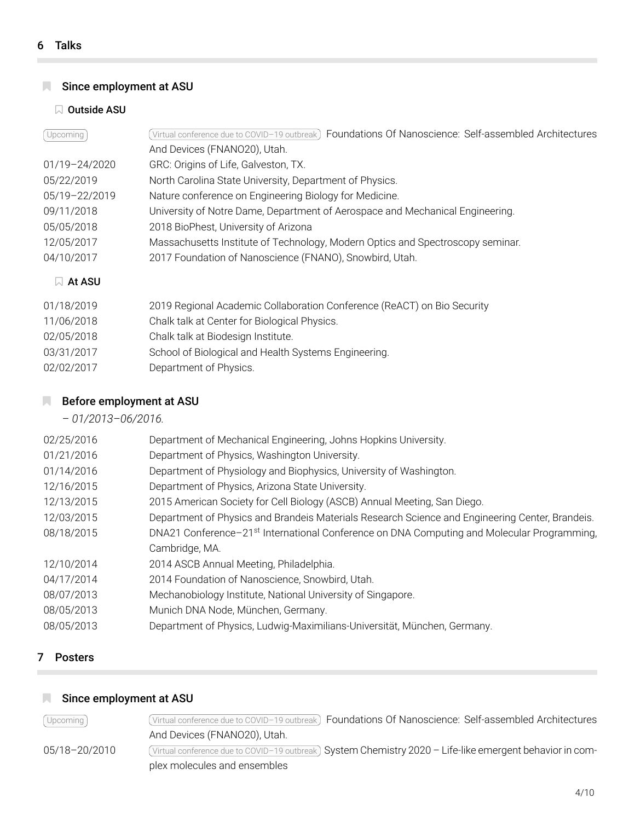# **N** Since employment at ASU

#### **N** Outside ASU

| Upcoming      | Foundations Of Nanoscience: Self-assembled Architectures<br>Virtual conference due to COVID-19 outbreak) |
|---------------|----------------------------------------------------------------------------------------------------------|
|               | And Devices (FNANO20), Utah.                                                                             |
| 01/19-24/2020 | GRC: Origins of Life, Galveston, TX.                                                                     |
| 05/22/2019    | North Carolina State University, Department of Physics.                                                  |
| 05/19-22/2019 | Nature conference on Engineering Biology for Medicine.                                                   |
| 09/11/2018    | University of Notre Dame, Department of Aerospace and Mechanical Engineering.                            |
| 05/05/2018    | 2018 BioPhest, University of Arizona                                                                     |
| 12/05/2017    | Massachusetts Institute of Technology, Modern Optics and Spectroscopy seminar.                           |
| 04/10/2017    | 2017 Foundation of Nanoscience (FNANO), Snowbird, Utah.                                                  |
| $\Box$ At ASU |                                                                                                          |
| 01/18/2019    | 2019 Regional Academic Collaboration Conference (ReACT) on Bio Security                                  |
| 11/06/2018    | Chalk talk at Center for Biological Physics.                                                             |

- 02/05/2018 Chalk talk at Biodesign Institute.
- 03/31/2017 School of Biological and Health Systems Engineering.
- 02/02/2017 Department of Physics.

## **Before employment at ASU**

*– 01/2013–06/2016.*

| 02/25/2016 | Department of Mechanical Engineering, Johns Hopkins University.                                        |
|------------|--------------------------------------------------------------------------------------------------------|
| 01/21/2016 | Department of Physics, Washington University.                                                          |
| 01/14/2016 | Department of Physiology and Biophysics, University of Washington.                                     |
| 12/16/2015 | Department of Physics, Arizona State University.                                                       |
| 12/13/2015 | 2015 American Society for Cell Biology (ASCB) Annual Meeting, San Diego.                               |
| 12/03/2015 | Department of Physics and Brandeis Materials Research Science and Engineering Center, Brandeis.        |
| 08/18/2015 | DNA21 Conference-21 <sup>st</sup> International Conference on DNA Computing and Molecular Programming, |
|            | Cambridge, MA.                                                                                         |
| 12/10/2014 | 2014 ASCB Annual Meeting, Philadelphia.                                                                |
| 04/17/2014 | 2014 Foundation of Nanoscience, Snowbird, Utah.                                                        |
| 08/07/2013 | Mechanobiology Institute, National University of Singapore.                                            |
| 08/05/2013 | Munich DNA Node, München, Germany.                                                                     |
| 08/05/2013 | Department of Physics, Ludwig-Maximilians-Universität, München, Germany.                               |

## 7 Posters

# **N** Since employment at ASU

| [Upcoming]    | (Virtual conference due to COVID-19 outbreak) Foundations Of Nanoscience: Self-assembled Architectures    |
|---------------|-----------------------------------------------------------------------------------------------------------|
|               | And Devices (FNANO20), Utah.                                                                              |
| 05/18-20/2010 | (Virtual conference due to COVID-19 outbreak) System Chemistry 2020 - Life-like emergent behavior in com- |
|               | plex molecules and ensembles                                                                              |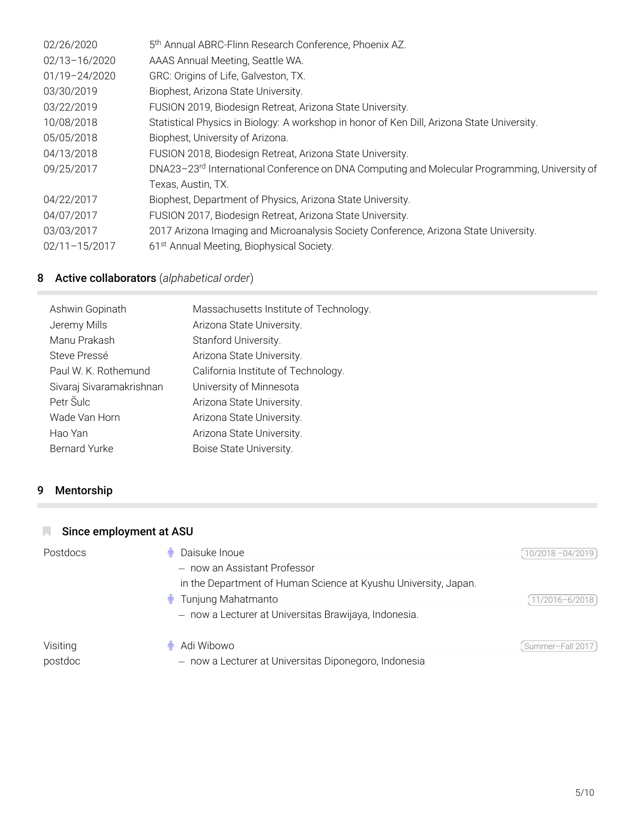| 02/26/2020    | 5 <sup>th</sup> Annual ABRC-Flinn Research Conference, Phoenix AZ.                                        |
|---------------|-----------------------------------------------------------------------------------------------------------|
| 02/13-16/2020 | AAAS Annual Meeting, Seattle WA.                                                                          |
| 01/19-24/2020 | GRC: Origins of Life, Galveston, TX.                                                                      |
| 03/30/2019    | Biophest, Arizona State University.                                                                       |
| 03/22/2019    | FUSION 2019, Biodesign Retreat, Arizona State University.                                                 |
| 10/08/2018    | Statistical Physics in Biology: A workshop in honor of Ken Dill, Arizona State University.                |
| 05/05/2018    | Biophest, University of Arizona.                                                                          |
| 04/13/2018    | FUSION 2018, Biodesign Retreat, Arizona State University.                                                 |
| 09/25/2017    | DNA23-23 <sup>rd</sup> International Conference on DNA Computing and Molecular Programming, University of |
|               | Texas, Austin, TX.                                                                                        |
| 04/22/2017    | Biophest, Department of Physics, Arizona State University.                                                |
| 04/07/2017    | FUSION 2017, Biodesign Retreat, Arizona State University.                                                 |
| 03/03/2017    | 2017 Arizona Imaging and Microanalysis Society Conference, Arizona State University.                      |
| 02/11-15/2017 | 61 <sup>st</sup> Annual Meeting, Biophysical Society.                                                     |
|               |                                                                                                           |

# 8 Active collaborators (*alphabetical order*)

| Ashwin Gopinath          | Massachusetts Institute of Technology. |
|--------------------------|----------------------------------------|
| Jeremy Mills             | Arizona State University.              |
| Manu Prakash             | Stanford University.                   |
| Steve Pressé             | Arizona State University.              |
| Paul W. K. Rothemund     | California Institute of Technology.    |
| Sivaraj Sivaramakrishnan | University of Minnesota                |
| Petr Šulc                | Arizona State University.              |
| Wade Van Horn            | Arizona State University.              |
| Hao Yan                  | Arizona State University.              |
| <b>Bernard Yurke</b>     | Boise State University.                |
|                          |                                        |

# 9 Mentorship

# Since employment at ASU Postdocs ♂ Daisuke Inoue . . . . . . . . . . . . . . . . . . . . . . . . . . . . . . . . . . . . . . . . . . . . . . . . . . . . . . . . . . . 10/2018 –04/2019 *−* now an Assistant Professor in the Department of Human Science at Kyushu University, Japan. ♂ Tunjung Mahatmanto . . . . . . . . . . . . . . . . . . . . . . . . . . . . . . . . . . . . . . . . . . . . . . . . . . . . . 11/2016–6/2018 *−* now a Lecturer at Universitas Brawijaya, Indonesia. Visiting postdoc ♂ Adi Wibowo . . . . . . . . . . . . . . . . . . . . . . . . . . . . . . . . . . . . . . . . . . . . . . . . . . . . . . . . . . . . . Summer–Fall 2017 *−* now a Lecturer at Universitas Diponegoro, Indonesia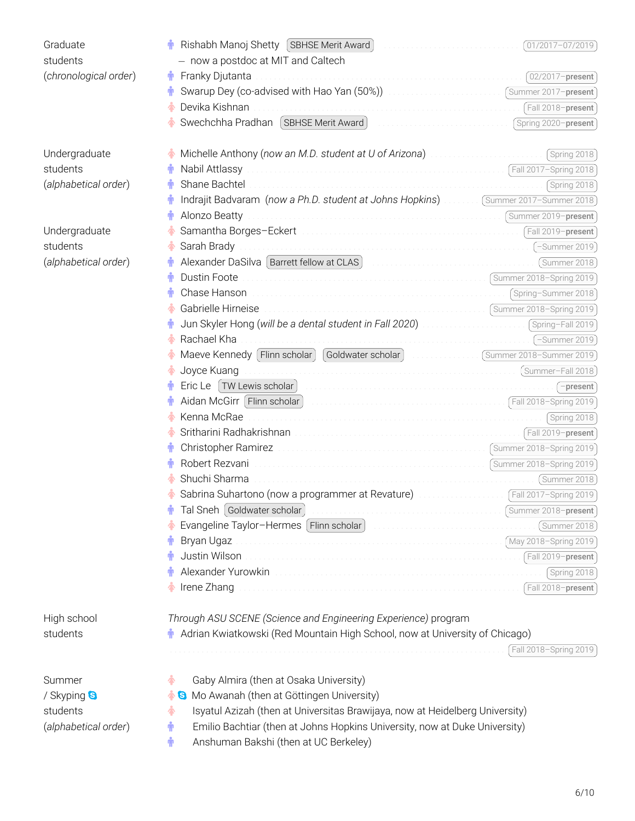| Graduate              | Rishabh Manoj Shetty (SBHSE Merit Award)                                                                                                                                                                                       | (01/2017-07/2019)     |  |
|-----------------------|--------------------------------------------------------------------------------------------------------------------------------------------------------------------------------------------------------------------------------|-----------------------|--|
| students              | - now a postdoc at MIT and Caltech                                                                                                                                                                                             |                       |  |
| (chronological order) | Franky Djutanta<br>Ť                                                                                                                                                                                                           | $02/2017$ -present    |  |
|                       | Swarup Dey (co-advised with Hao Yan (50%)) Manufacture and Summer 2017-present                                                                                                                                                 |                       |  |
|                       | Devika Kishnan<br>                                                                                                                                                                                                             | Fall 2018-present     |  |
|                       | Swechchha Pradhan (SBHSE Merit Award)                                                                                                                                                                                          | Spring 2020-present   |  |
| Undergraduate         | Michelle Anthony (now an M.D. student at U of Arizona) measure in the Michelle Anthony (now an M.D. student at U of Arizona)                                                                                                   | Spring 2018)          |  |
| students              | Fall 2017-Spring 2018<br>Nabil Attlassy                                                                                                                                                                                        |                       |  |
| (alphabetical order)  | Shane Bachtel                                                                                                                                                                                                                  | Spring 2018           |  |
|                       | Indrajit Badvaram (now a Ph.D. student at Johns Hopkins)  (Summer 2017-Summer 2018)                                                                                                                                            |                       |  |
|                       | Alonzo Beatty                                                                                                                                                                                                                  |                       |  |
| Undergraduate         | Samantha Borges-Eckert [11] Samantha Borges-Eckert [11] Samantha Borges-Eckert [11] Samantha Borges-Eckert                                                                                                                     |                       |  |
| students              | Sarah Brady                                                                                                                                                                                                                    | (-Summer 2019)        |  |
| (alphabetical order)  | Alexander DaSilva Barrett fellow at CLAS (Summer 2018)                                                                                                                                                                         |                       |  |
|                       | Dustin Foote                                                                                                                                                                                                                   |                       |  |
|                       | Chase Hanson                                                                                                                                                                                                                   | Spring-Summer 2018    |  |
|                       | Gabrielle Hirneise<br>Summer 2018-Spring 2019                                                                                                                                                                                  |                       |  |
|                       | Jun Skyler Hong (will be a dental student in Fall 2020) Matter Concentration (Spring-Fall 2019)                                                                                                                                |                       |  |
|                       | Rachael Kha<br>                                                                                                                                                                                                                | -Summer 2019)         |  |
|                       | Maeve Kennedy   Flinn scholar                                                                                                                                                                                                  |                       |  |
|                       | Joyce Kuang                                                                                                                                                                                                                    |                       |  |
|                       |                                                                                                                                                                                                                                | $\vert$ -present      |  |
|                       |                                                                                                                                                                                                                                |                       |  |
|                       | Kenna McRae                                                                                                                                                                                                                    | Spring 2018           |  |
|                       |                                                                                                                                                                                                                                |                       |  |
|                       |                                                                                                                                                                                                                                |                       |  |
|                       | Summer 2018-Spring 2019<br>Robert Rezvani                                                                                                                                                                                      |                       |  |
|                       | Shuchi Sharma                                                                                                                                                                                                                  | (Summer 2018)         |  |
|                       | Sabrina Suhartono (now a programmer at Revature) And Concentration (Fall 2017-Spring 2019)                                                                                                                                     |                       |  |
|                       | Tal Sneh Goldwater scholar                                                                                                                                                                                                     | Summer 2018-present   |  |
|                       | Evangeline Taylor-Hermes [Flinn scholar]                                                                                                                                                                                       | (Summer 2018 )        |  |
|                       | Bryan Ugaz                                                                                                                                                                                                                     |                       |  |
|                       | Justin Wilson                                                                                                                                                                                                                  | Fall 2019-present     |  |
|                       | Alexander Yurowkin [11] Production of the contract of the contract of the contract of the contract of the contract of the contract of the contract of the contract of the contract of the contract of the contract of the cont | Spring 2018           |  |
|                       | Irene Zhang                                                                                                                                                                                                                    | Fall 2018-present     |  |
| High school           | Through ASU SCENE (Science and Engineering Experience) program                                                                                                                                                                 |                       |  |
| students              | Adrian Kwiatkowski (Red Mountain High School, now at University of Chicago)                                                                                                                                                    |                       |  |
|                       |                                                                                                                                                                                                                                | Fall 2018-Spring 2019 |  |
| Summer                | Gaby Almira (then at Osaka University)<br>♠                                                                                                                                                                                    |                       |  |
| / Skyping <b>S</b>    | Mo Awanah (then at Göttingen University)<br>G                                                                                                                                                                                  |                       |  |
| students              | Isyatul Azizah (then at Universitas Brawijaya, now at Heidelberg University)<br>♠                                                                                                                                              |                       |  |
| (alphabetical order)  | Emilio Bachtiar (then at Johns Hopkins University, now at Duke University)<br>Ť                                                                                                                                                |                       |  |
|                       | Anshuman Bakshi (then at UC Berkeley)<br>Ť                                                                                                                                                                                     |                       |  |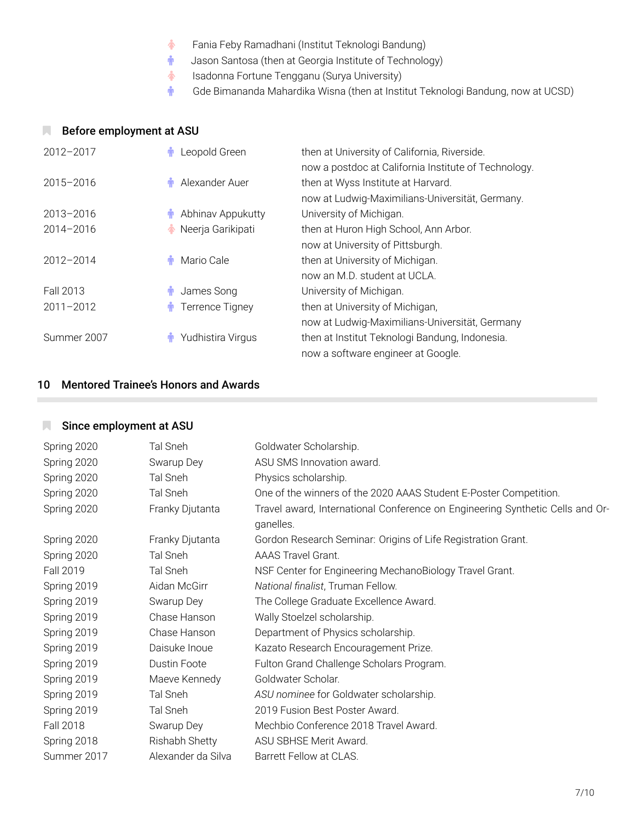- ♀ Fania Feby Ramadhani (Institut Teknologi Bandung)
- **i** Jason Santosa (then at Georgia Institute of Technology)
- ♀ Isadonna Fortune Tengganu (Surya University)
- **i** Gde Bimananda Mahardika Wisna (then at Institut Teknologi Bandung, now at UCSD)

## **Before employment at ASU**

| $2012 - 2017$ | Leopold Green     | then at University of California, Riverside.<br>now a postdoc at California Institute of Technology. |
|---------------|-------------------|------------------------------------------------------------------------------------------------------|
| $2015 - 2016$ | Alexander Auer    | then at Wyss Institute at Harvard.                                                                   |
|               |                   | now at Ludwig-Maximilians-Universität, Germany.                                                      |
| 2013-2016     | Abhinav Appukutty | University of Michigan.                                                                              |
| $2014 - 2016$ | Neerja Garikipati | then at Huron High School, Ann Arbor.                                                                |
|               |                   | now at University of Pittsburgh.                                                                     |
| $2012 - 2014$ | Mario Cale        | then at University of Michigan.                                                                      |
|               |                   | now an M.D. student at UCLA.                                                                         |
| Fall 2013     | James Song        | University of Michigan.                                                                              |
| $2011 - 2012$ | Terrence Tigney   | then at University of Michigan,                                                                      |
|               |                   | now at Ludwig-Maximilians-Universität, Germany                                                       |
| Summer 2007   | Yudhistira Virgus | then at Institut Teknologi Bandung, Indonesia.                                                       |
|               |                   | now a software engineer at Google.                                                                   |

# 10 Mentored Trainee's Honors and Awards

# **N** Since employment at ASU

| Spring 2020      | Tal Sneh            | Goldwater Scholarship.                                                                     |
|------------------|---------------------|--------------------------------------------------------------------------------------------|
| Spring 2020      | Swarup Dey          | ASU SMS Innovation award.                                                                  |
| Spring 2020      | Tal Sneh            | Physics scholarship.                                                                       |
| Spring 2020      | Tal Sneh            | One of the winners of the 2020 AAAS Student E-Poster Competition.                          |
| Spring 2020      | Franky Djutanta     | Travel award, International Conference on Engineering Synthetic Cells and Or-<br>ganelles. |
| Spring 2020      | Franky Djutanta     | Gordon Research Seminar: Origins of Life Registration Grant.                               |
| Spring 2020      | Tal Sneh            | <b>AAAS Travel Grant.</b>                                                                  |
| Fall 2019        | Tal Sneh            | NSF Center for Engineering MechanoBiology Travel Grant.                                    |
| Spring 2019      | Aidan McGirr        | National finalist, Truman Fellow.                                                          |
| Spring 2019      | Swarup Dey          | The College Graduate Excellence Award.                                                     |
| Spring 2019      | Chase Hanson        | Wally Stoelzel scholarship.                                                                |
| Spring 2019      | Chase Hanson        | Department of Physics scholarship.                                                         |
| Spring 2019      | Daisuke Inoue       | Kazato Research Encouragement Prize.                                                       |
| Spring 2019      | <b>Dustin Foote</b> | Fulton Grand Challenge Scholars Program.                                                   |
| Spring 2019      | Maeve Kennedy       | Goldwater Scholar.                                                                         |
| Spring 2019      | Tal Sneh            | ASU nominee for Goldwater scholarship.                                                     |
| Spring 2019      | Tal Sneh            | 2019 Fusion Best Poster Award.                                                             |
| <b>Fall 2018</b> | Swarup Dey          | Mechbio Conference 2018 Travel Award.                                                      |
| Spring 2018      | Rishabh Shetty      | ASU SBHSE Merit Award.                                                                     |
| Summer 2017      | Alexander da Silva  | Barrett Fellow at CLAS.                                                                    |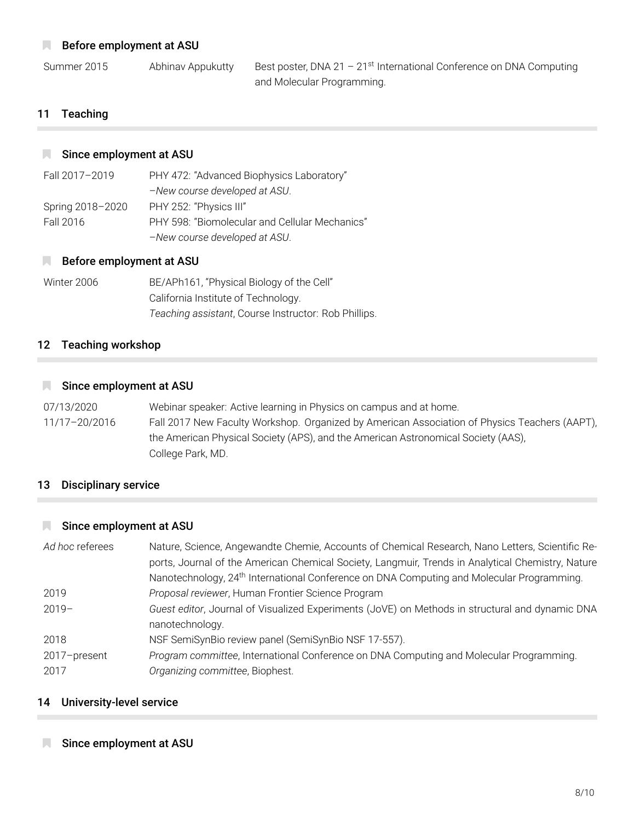### **Before employment at ASU**

Summer 2015 Abhinav Appukutty Best poster, DNA 21 - 21<sup>st</sup> International Conference on DNA Computing and Molecular Programming.

## 11 Teaching

#### Since employment at ASU

| Fall 2017-2019   | PHY 472: "Advanced Biophysics Laboratory"      |
|------------------|------------------------------------------------|
|                  | -New course developed at ASU.                  |
| Spring 2018-2020 | PHY 252: "Physics III"                         |
| Fall 2016        | PHY 598: "Biomolecular and Cellular Mechanics" |
|                  | -New course developed at ASU.                  |

#### **Before employment at ASU**

| Winter 2006 | BE/APh161, "Physical Biology of the Cell"            |
|-------------|------------------------------------------------------|
|             | California Institute of Technology.                  |
|             | Teaching assistant, Course Instructor: Rob Phillips. |

#### 12 Teaching workshop

#### Since employment at ASU

07/13/2020 Webinar speaker: Active learning in Physics on campus and at home. 11/17–20/2016 Fall 2017 New Faculty Workshop. Organized by American Association of Physics Teachers (AAPT), the American Physical Society (APS), and the American Astronomical Society (AAS), College Park, MD.

#### 13 Disciplinary service

#### Since employment at ASU

| Ad hoc referees | Nature, Science, Angewandte Chemie, Accounts of Chemical Research, Nano Letters, Scientific Re-       |
|-----------------|-------------------------------------------------------------------------------------------------------|
|                 | ports, Journal of the American Chemical Society, Langmuir, Trends in Analytical Chemistry, Nature     |
|                 | Nanotechnology, 24 <sup>th</sup> International Conference on DNA Computing and Molecular Programming. |
| 2019            | Proposal reviewer, Human Frontier Science Program                                                     |
| $2019-$         | Guest editor, Journal of Visualized Experiments (JoVE) on Methods in structural and dynamic DNA       |
|                 | nanotechnology.                                                                                       |
| 2018            | NSF SemiSynBio review panel (SemiSynBio NSF 17-557).                                                  |
| 2017-present    | Program committee, International Conference on DNA Computing and Molecular Programming.               |
| 2017            | Organizing committee, Biophest.                                                                       |

#### 14 University-level service

#### Since employment at ASU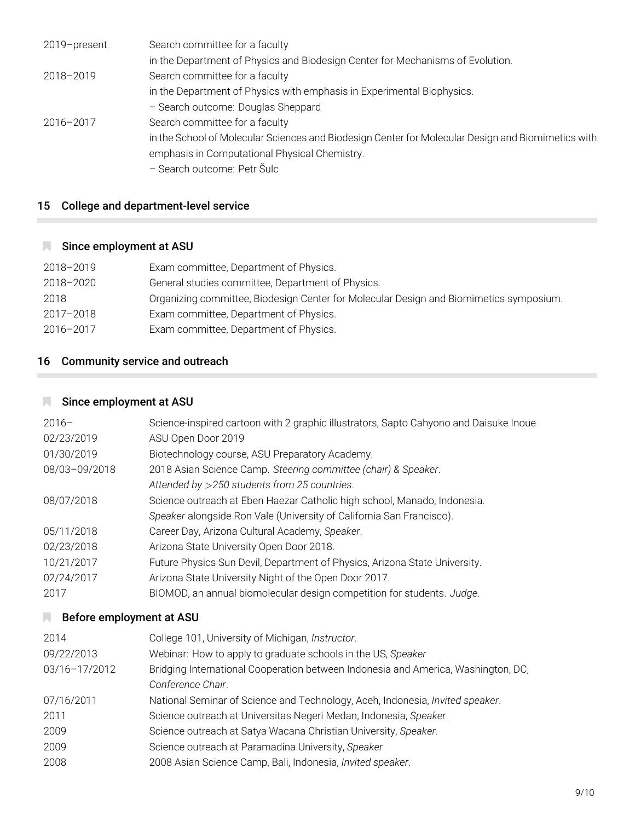| 2019-present | Search committee for a faculty                                                                     |
|--------------|----------------------------------------------------------------------------------------------------|
|              | in the Department of Physics and Biodesign Center for Mechanisms of Evolution.                     |
| 2018-2019    | Search committee for a faculty                                                                     |
|              | in the Department of Physics with emphasis in Experimental Biophysics.                             |
|              | - Search outcome: Douglas Sheppard                                                                 |
| 2016-2017    | Search committee for a faculty                                                                     |
|              | in the School of Molecular Sciences and Biodesign Center for Molecular Design and Biomimetics with |
|              | emphasis in Computational Physical Chemistry.                                                      |
|              | - Search outcome: Petr Šulc                                                                        |
|              |                                                                                                    |

# 15 College and department-level service

## Since employment at ASU

| 2018-2019 | Exam committee, Department of Physics.                                                 |
|-----------|----------------------------------------------------------------------------------------|
| 2018-2020 | General studies committee, Department of Physics.                                      |
| 2018      | Organizing committee, Biodesign Center for Molecular Design and Biomimetics symposium. |
| 2017-2018 | Exam committee, Department of Physics.                                                 |
| 2016-2017 | Exam committee, Department of Physics.                                                 |

# 16 Community service and outreach

# Since employment at ASU

| $2016-$       | Science-inspired cartoon with 2 graphic illustrators, Sapto Cahyono and Daisuke Inoue |
|---------------|---------------------------------------------------------------------------------------|
| 02/23/2019    | ASU Open Door 2019                                                                    |
| 01/30/2019    | Biotechnology course, ASU Preparatory Academy.                                        |
| 08/03-09/2018 | 2018 Asian Science Camp. Steering committee (chair) & Speaker.                        |
|               | Attended by >250 students from 25 countries.                                          |
| 08/07/2018    | Science outreach at Eben Haezar Catholic high school, Manado, Indonesia.              |
|               | Speaker alongside Ron Vale (University of California San Francisco).                  |
| 05/11/2018    | Career Day, Arizona Cultural Academy, Speaker.                                        |
| 02/23/2018    | Arizona State University Open Door 2018.                                              |
| 10/21/2017    | Future Physics Sun Devil, Department of Physics, Arizona State University.            |
| 02/24/2017    | Arizona State University Night of the Open Door 2017.                                 |
| 2017          | BIOMOD, an annual biomolecular design competition for students. Judge.                |
|               |                                                                                       |

# **Before employment at ASU**

| 2014          | College 101, University of Michigan, Instructor.                                  |
|---------------|-----------------------------------------------------------------------------------|
| 09/22/2013    | Webinar: How to apply to graduate schools in the US, Speaker                      |
| 03/16-17/2012 | Bridging International Cooperation between Indonesia and America, Washington, DC, |
|               | Conference Chair.                                                                 |
| 07/16/2011    | National Seminar of Science and Technology, Aceh, Indonesia, Invited speaker.     |
| 2011          | Science outreach at Universitas Negeri Medan, Indonesia, Speaker.                 |
| 2009          | Science outreach at Satya Wacana Christian University, Speaker.                   |
| 2009          | Science outreach at Paramadina University, Speaker                                |
| 2008          | 2008 Asian Science Camp, Bali, Indonesia, Invited speaker.                        |